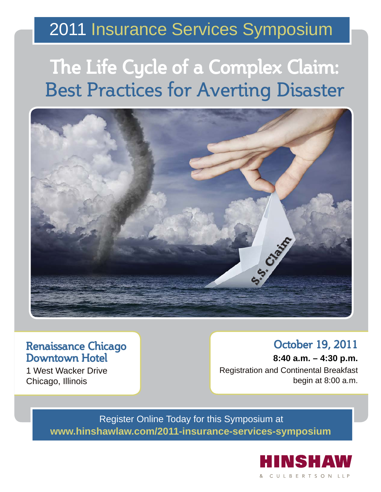### 2011 Insurance Services Symposium

# **The Life Cycle of a Complex Claim:** Best Practices for Averting Disaster



### **Renaissance Chicago Downtown Hotel**

1 West Wacker Drive Chicago, Illinois

### **October 19, 2011**

**8:40 a.m. – 4:30 p.m.** Registration and Continental Breakfast begin at 8:00 a.m.

Register Online Today for this Symposium at **www.hinshawlaw.com/2011-insurance-services-symposium**

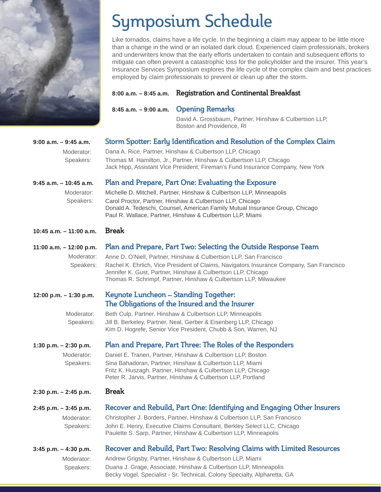

## Symposium Schedule

Like tornados, claims have a life cycle. In the beginning a claim may appear to be little more than a change in the wind or an isolated dark cloud. Experienced claim professionals, brokers and underwriters know that the early efforts undertaken to contain and subsequent efforts to mitigate can often prevent a catastrophic loss for the policyholder and the insurer. This year's Insurance Services Symposium explores the life cycle of the complex claim and best practices employed by claim professionals to prevent or clean up after the storm.

#### **8:00 a.m. – 8:45 a.m. Registration and Continental Breakfast**

**8:45 a.m. – 9:00 a.m. Opening Remarks**

 David A. Grossbaum, Partner, Hinshaw & Culbertson LLP, Boston and Providence, RI

| $9:00$ a.m. $-9:45$ a.m.  | Storm Spotter: Early Identification and Resolution of the Complex Claim                                                                                |
|---------------------------|--------------------------------------------------------------------------------------------------------------------------------------------------------|
| Moderator:                | Dana A. Rice, Partner, Hinshaw & Culbertson LLP, Chicago                                                                                               |
| Speakers:                 | Thomas M. Hamilton, Jr., Partner, Hinshaw & Culbertson LLP, Chicago<br>Jack Hipp, Assistant Vice President, Fireman's Fund Insurance Company, New York |
| $9:45$ a.m. $-10:45$ a.m. | Plan and Prepare, Part One: Evaluating the Exposure                                                                                                    |

 Michelle D. Mitchell, Partner, Hinshaw & Culbertson LLP, Minneapolis Carol Proctor, Partner, Hinshaw & Culbertson LLP, Chicago Donald A. Tedeschi, Counsel, American Family Mutual Insurance Group, Chicago Paul R. Wallace, Partner, Hinshaw & Culbertson LLP, Miami Moderator: Speakers:

#### **10:45 a.m. – 11:00 a.m. Break**

| 11:00 a.m. – 12:00 p.m. Plan and Prepare, Part Two: Selecting the Outside Response Team            |
|----------------------------------------------------------------------------------------------------|
| Moderator: Anne D. O'Niell, Partner, Hinshaw & Culbertson LLP, San Francisco                       |
| Speakers: Rachel K. Ehrlich, Vice President of Claims, Navigators Insurance Company, San Francisco |
| Jennifer K. Gust, Partner, Hinshaw & Culbertson LLP, Chicago                                       |

Thomas R. Schrimpf, Partner, Hinshaw & Culbertson LLP, Milwaukee

#### **12:00 p.m. – 1:30 p.m. Keynote Luncheon – Standing Together: The Obligations of the Insured and the Insurer**

 Beth Culp, Partner, Hinshaw & Culbertson LLP, Minneapolis Jill B. Berkeley, Partner, Neal, Gerber & Eisenberg LLP, Chicago Kim D. Hogrefe, Senior Vice President, Chubb & Son, Warren, NJ Moderator: Speakers:

#### **1:30 p.m. – 2:30 p.m. Plan and Prepare, Part Three: The Roles of the Responders**

Moderator: Speakers:  Daniel E. Tranen, Partner, Hinshaw & Culbertson LLP, Boston Sina Bahadoran, Partner, Hinshaw & Culbertson LLP, Miami Fritz K. Huszagh, Partner, Hinshaw & Culbertson LLP, Chicago Peter R. Jarvis, Partner, Hinshaw & Culbertson LLP, Portland

#### **2:30 p.m. – 2:45 p.m. Break**

| $2:45$ p.m. $-3:45$ p.m. | Recover and Rebuild, Part One: Identifying and Engaging Other Insurers   |
|--------------------------|--------------------------------------------------------------------------|
| Moderator:               | Christopher J. Borders, Partner, Hinshaw & Culbertson LLP, San Francisco |
| Speakers:                | John E. Henry, Executive Claims Consultant, Berkley Select LLC, Chicago  |
|                          | Paulette S. Sarp, Partner, Hinshaw & Culbertson LLP, Minneapolis         |

| $3:45$ p.m. $-4:30$ p.m. | Recover and Rebuild, Part Two: Resolving Claims with Limited Resources    |
|--------------------------|---------------------------------------------------------------------------|
| Moderator:               | Andrew Grigsby, Partner, Hinshaw & Culbertson LLP, Miami                  |
| Speakers:                | Duana J. Grage, Associate, Hinshaw & Culbertson LLP, Minneapolis          |
|                          | Becky Vogel, Specialist - Sr. Technical, Colony Specialty, Alpharetta, GA |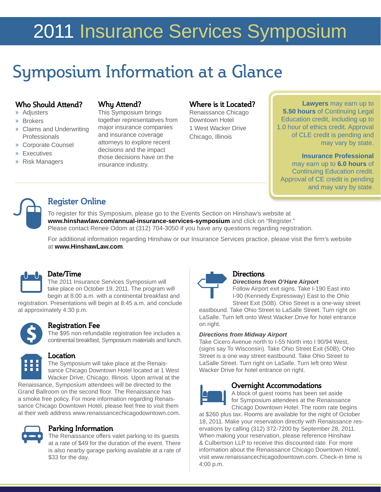# 2011 Insurance Services Symposium

## Symposium Information at a Glance

#### **Who Should Attend?**

- » Adjusters
- » Brokers
- » Claims and Underwriting **Professionals**
- » Corporate Counsel
- » Executives
- » Risk Managers

#### **Why Attend?**

This Symposium brings together representatives from major insurance companies and insurance coverage attorneys to explore recent decisions and the impact those decisions have on the insurance industry.

#### **Where is it Located?**

Renaissance Chicago Downtown Hotel 1 West Wacker Drive Chicago, Illinois

**Lawyers** may earn up to **5.50 hours** of Continuing Legal Education credit, including up to 1.0 hour of ethics credit. Approval of CLE credit is pending and may vary by state.

#### **Insurance Professional**  may earn up to **6.0 hours** of Continuing Education credit. Approval of CE credit is pending and may vary by state.



#### **Register Online**

To register for this Symposium, please go to the Events Section on Hinshaw's website at **www.hinshawlaw.com/annual-insurance-services-symposium** and click on "Register." Please contact Renee Odom at (312) 704-3050 if you have any questions regarding registration.

For additional information regarding Hinshaw or our Insurance Services practice, please visit the firm's website at **www.HinshawLaw.com**.



#### **Date/Time**

The 2011 Insurance Services Symposium will take place on October 19, 2011. The program will begin at 8:00 a.m. with a continental breakfast and registration. Presentations will begin at 8:45 a.m. and conclude

at approximately 4:30 p.m.

#### **Registration Fee**

The \$95 non-refundable registration fee includes a continental breakfast, Symposium materials and lunch.



#### **Location**

The Symposium will take place at the Renaissance Chicago Downtown Hotel located at 1 West Wacker Drive, Chicago, Illinois. Upon arrival at the

Renaissance, Symposium attendees will be directed to the Grand Ballroom on the second floor. The Renaissance has a smoke free policy. For more information regarding Renaissance Chicago Downtown Hotel, please feel free to visit them at their web address www.renaissancechicagodowntown.com.



#### **Parking Information**

The Renaissance offers valet parking to its guests at a rate of \$49 for the duration of the event. There is also nearby garage parking available at a rate of \$33 for the day.



#### **Directions**

*Directions from O'Hare Airport*

Follow Airport exit signs. Take I-190 East into I-90 (Kennedy Expressway) East to the Ohio Street Exit (50B). Ohio Street is a one-way street

eastbound. Take Ohio Street to LaSalle Street. Turn right on LaSalle. Turn left onto West Wacker Drive for hotel entrance on right.

#### *Directions from Midway Airport*

Take Cicero Avenue north to I-55 North into I 90/94 West, (signs say To Wisconsin). Take Ohio Street Exit (50B), Ohio Street is a one way street eastbound. Take Ohio Street to LaSalle Street. Turn right on LaSalle. Turn left onto West Wacker Drive for hotel entrance on right.



#### **Overnight Accommodations**

A block of guest rooms has been set aside for Symposium attendees at the Renaissance Chicago Downtown Hotel. The room rate begins

at \$260 plus tax. Rooms are available for the night of October 18, 2011. Make your reservation directly with Renaissance reservations by calling (312) 372-7200 by September 28, 2011. When making your reservation, please reference Hinshaw & Culbertson LLP to receive this discounted rate. For more information about the Renaissance Chicago Downtown Hotel, visit www.renaissancechicagodowntown.com. Check-in time is 4:00 p.m.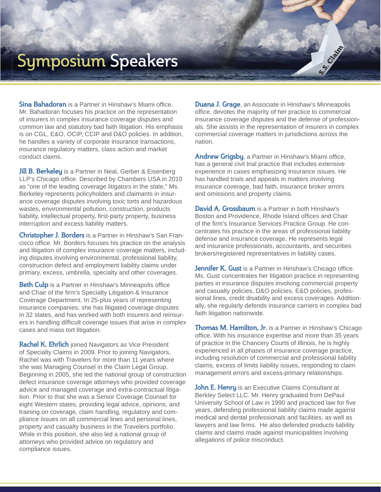### **Symposium Speakers**

**Sina Bahadoran** is a Partner in Hinshaw's Miami office. Mr. Bahadoran focuses his practice on the representation of insurers in complex insurance coverage disputes and common law and statutory bad faith litigation. His emphasis is on CGL, E&O, OCIP, CCIP and D&O policies. In addition, he handles a variety of corporate insurance transactions, insurance regulatory matters, class action and market conduct claims.

**Jill B. Berkeley** is a Partner in Neal, Gerber & Eisenberg LLP's Chicago office. Described by Chambers USA in 2010 as "one of the leading coverage litigators in the state," Ms. Berkeley represents policyholders and claimants in insurance coverage disputes involving toxic torts and hazardous wastes, environmental pollution, construction, products liability, intellectual property, first-party property, business interruption and excess liability matters.

**Christopher J. Borders** is a Partner in Hinshaw's San Francisco office. Mr. Borders focuses his practice on the analysis and litigation of complex insurance coverage matters, including disputes involving environmental, professional liability, construction defect and employment liability claims under primary, excess, umbrella, specialty and other coverages.

**Beth Culp** is a Partner in Hinshaw's Minneapolis office and Chair of the firm's Specialty Litigation & Insurance Coverage Department. In 25-plus years of representing insurance companies, she has litigated coverage disputes in 32 states, and has worked with both insurers and reinsurers in handling difficult coverage issues that arise in complex cases and mass tort litigation.

**Rachel K. Ehrlich** joined Navigators as Vice President of Specialty Claims in 2009. Prior to joining Navigators, Rachel was with Travelers for more than 11 years where she was Managing Counsel in the Claim Legal Group. Beginning in 2005, she led the national group of construction defect insurance coverage attorneys who provided coverage advice and managed coverage and extra-contractual litigation. Prior to that she was a Senior Coverage Counsel for eight Western states, providing legal advice, opinions, and training on coverage, claim handling, regulatory and compliance issues on all commercial lines and personal lines, property and casualty business in the Travelers portfolio. While in this position, she also led a national group of attorneys who provided advice on regulatory and compliance issues.

**Duana J. Grage**, an Associate in Hinshaw's Minneapolis office, devotes the majority of her practice to commercial insurance coverage disputes and the defense of professionals. She assists in the representation of insurers in complex commercial coverage matters in jurisdictions across the nation.

Andrew Grigsby, a Partner in Hinshaw's Miami office, has a general civil trial practice that includes extensive experience in cases emphasizing insurance issues. He has handled trials and appeals in matters involving insurance coverage, bad faith, insurance broker errors and omissions and property claims.

**David A. Grossbaum** is a Partner in both Hinshaw's Boston and Providence, Rhode Island offices and Chair of the firm's Insurance Services Practice Group. He concentrates his practice in the areas of professional liability defense and insurance coverage. He represents legal and insurance professionals, accountants, and securities brokers/registered representatives in liability cases.

**Jennifer K. Gust** is a Partner in Hinshaw's Chicago office. Ms. Gust concentrates her litigation practice in representing parties in insurance disputes involving commercial property and casualty policies, D&O policies, E&O policies, professional lines, credit disability and excess coverages. Additionally, she regularly defends insurance carriers in complex bad faith litigation nationwide.

**Thomas M. Hamilton, Jr.** is a Partner in Hinshaw's Chicago office. With his insurance expertise and more than 35 years of practice in the Chancery Courts of Illinois, he is highly experienced in all phases of insurance coverage practice, including resolution of commercial and professional liability claims, excess of limits liability issues, responding to claim management errors and excess-primary relationships.

**John E. Henry** is an Executive Claims Consultant at Berkley Select LLC. Mr. Henry graduated from DePaul University School of Law in 1990 and practiced law for five years, defending professional liability claims made against medical and dental professionals and facilities, as well as lawyers and law firms. He also defended products liability claims and claims made against municipalities involving allegations of police misconduct.